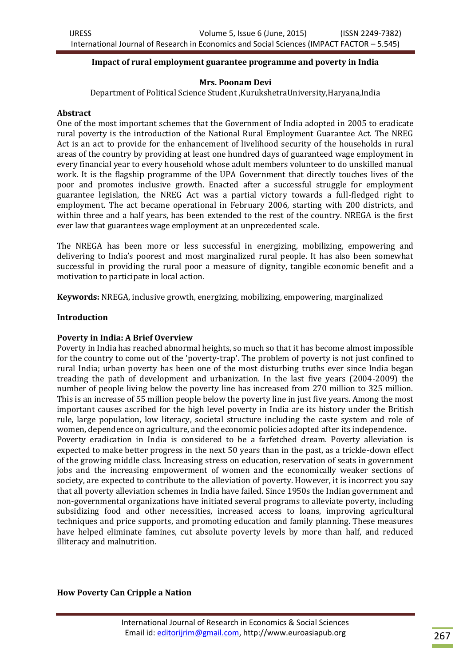### **Impact of rural employment guarantee programme and poverty in India**

### **Mrs. Poonam Devi**

Department of Political Science Student ,KurukshetraUniversity,Haryana,India

#### **Abstract**

One of the most important schemes that the Government of India adopted in 2005 to eradicate rural poverty is the introduction of the National Rural Employment Guarantee Act. The NREG Act is an act to provide for the enhancement of livelihood security of the households in rural areas of the country by providing at least one hundred days of guaranteed wage employment in every financial year to every household whose adult members volunteer to do unskilled manual work. It is the flagship programme of the UPA Government that directly touches lives of the poor and promotes inclusive growth. Enacted after a successful struggle for employment guarantee legislation, the NREG Act was a partial victory towards a full-fledged right to employment. The act became operational in February 2006, starting with 200 districts, and within three and a half years, has been extended to the rest of the country. NREGA is the first ever law that guarantees wage employment at an unprecedented scale.

The NREGA has been more or less successful in energizing, mobilizing, empowering and delivering to India's poorest and most marginalized rural people. It has also been somewhat successful in providing the rural poor a measure of dignity, tangible economic benefit and a motivation to participate in local action.

**Keywords:** NREGA, inclusive growth, energizing, mobilizing, empowering, marginalized

#### **Introduction**

### **Poverty in India: A Brief Overview**

Poverty in India has reached abnormal heights, so much so that it has become almost impossible for the country to come out of the 'poverty-trap'. The problem of poverty is not just confined to rural India; urban poverty has been one of the most disturbing truths ever since India began treading the path of development and urbanization. In the last five years (2004-2009) the number of people living below the poverty line has increased from 270 million to 325 million. This is an increase of 55 million people below the poverty line in just five years. Among the most important causes ascribed for the high level poverty in India are its history under the British rule, large population, low literacy, societal structure including the caste system and role of women, dependence on agriculture, and the economic policies adopted after its independence. Poverty eradication in India is considered to be a farfetched dream. Poverty alleviation is expected to make better progress in the next 50 years than in the past, as a trickle-down effect of the growing middle class. Increasing stress on education, reservation of seats in government jobs and the increasing empowerment of women and the economically weaker sections of society, are expected to contribute to the alleviation of poverty. However, it is incorrect you say that all poverty alleviation schemes in India have failed. Since 1950s the Indian government and non-governmental organizations have initiated several programs to alleviate poverty, including subsidizing food and other necessities, increased access to loans, improving agricultural techniques and price supports, and promoting education and family planning. These measures have helped eliminate famines, cut absolute poverty levels by more than half, and reduced illiteracy and malnutrition.

#### **How Poverty Can Cripple a Nation**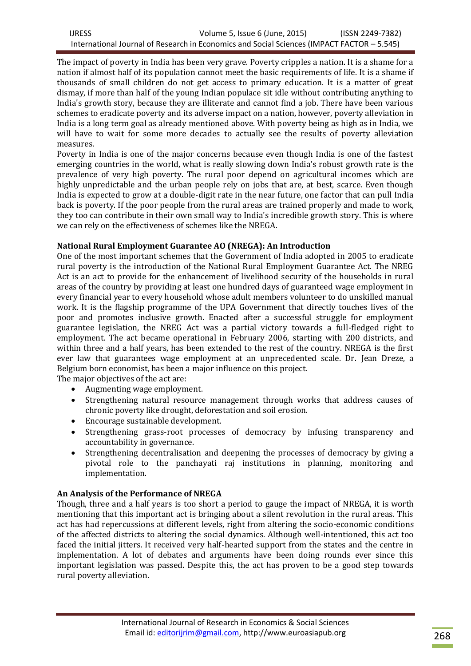The impact of poverty in India has been very grave. Poverty cripples a nation. It is a shame for a nation if almost half of its population cannot meet the basic requirements of life. It is a shame if thousands of small children do not get access to primary education. It is a matter of great dismay, if more than half of the young Indian populace sit idle without contributing anything to India's growth story, because they are illiterate and cannot find a job. There have been various schemes to eradicate poverty and its adverse impact on a nation, however, poverty alleviation in India is a long term goal as already mentioned above. With poverty being as high as in India, we will have to wait for some more decades to actually see the results of poverty alleviation measures.

Poverty in India is one of the major concerns because even though India is one of the fastest emerging countries in the world, what is really slowing down India's robust growth rate is the prevalence of very high poverty. The rural poor depend on agricultural incomes which are highly unpredictable and the urban people rely on jobs that are, at best, scarce. Even though India is expected to grow at a double-digit rate in the near future, one factor that can pull India back is poverty. If the poor people from the rural areas are trained properly and made to work, they too can contribute in their own small way to India's incredible growth story. This is where we can rely on the effectiveness of schemes like the NREGA.

# **National Rural Employment Guarantee AO (NREGA): An Introduction**

One of the most important schemes that the Government of India adopted in 2005 to eradicate rural poverty is the introduction of the National Rural Employment Guarantee Act. The NREG Act is an act to provide for the enhancement of livelihood security of the households in rural areas of the country by providing at least one hundred days of guaranteed wage employment in every financial year to every household whose adult members volunteer to do unskilled manual work. It is the flagship programme of the UPA Government that directly touches lives of the poor and promotes inclusive growth. Enacted after a successful struggle for employment guarantee legislation, the NREG Act was a partial victory towards a full-fledged right to employment. The act became operational in February 2006, starting with 200 districts, and within three and a half years, has been extended to the rest of the country. NREGA is the first ever law that guarantees wage employment at an unprecedented scale. Dr. Jean Dreze, a Belgium born economist, has been a major influence on this project.

The major objectives of the act are:

- Augmenting wage employment.
- Strengthening natural resource management through works that address causes of chronic poverty like drought, deforestation and soil erosion.
- Encourage sustainable development.
- Strengthening grass-root processes of democracy by infusing transparency and accountability in governance.
- Strengthening decentralisation and deepening the processes of democracy by giving a pivotal role to the panchayati raj institutions in planning, monitoring and implementation.

# **An Analysis of the Performance of NREGA**

Though, three and a half years is too short a period to gauge the impact of NREGA, it is worth mentioning that this important act is bringing about a silent revolution in the rural areas. This act has had repercussions at different levels, right from altering the socio-economic conditions of the affected districts to altering the social dynamics. Although well-intentioned, this act too faced the initial jitters. It received very half-hearted support from the states and the centre in implementation. A lot of debates and arguments have been doing rounds ever since this important legislation was passed. Despite this, the act has proven to be a good step towards rural poverty alleviation.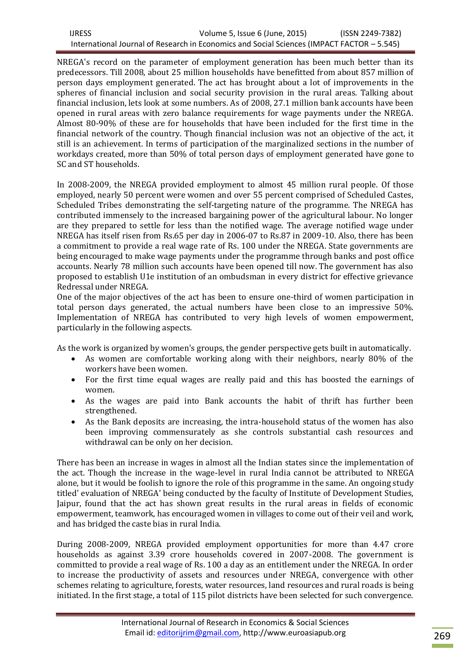| <b>IJRESS</b>                                                                              | Volume 5, Issue 6 (June, 2015) | (ISSN 2249-7382) |
|--------------------------------------------------------------------------------------------|--------------------------------|------------------|
| International Journal of Research in Economics and Social Sciences (IMPACT FACTOR – 5.545) |                                |                  |

NREGA's record on the parameter of employment generation has been much better than its predecessors. Till 2008, about 25 million households have benefitted from about 857 million of person days employment generated. The act has brought about a lot of improvements in the spheres of financial inclusion and social security provision in the rural areas. Talking about financial inclusion, lets look at some numbers. As of 2008, 27.1 million bank accounts have been opened in rural areas with zero balance requirements for wage payments under the NREGA. Almost 80-90% of these are for households that have been included for the first time in the financial network of the country. Though financial inclusion was not an objective of the act, it still is an achievement. In terms of participation of the marginalized sections in the number of workdays created, more than 50% of total person days of employment generated have gone to SC and ST households.

In 2008-2009, the NREGA provided employment to almost 45 million rural people. Of those employed, nearly 50 percent were women and over 55 percent comprised of Scheduled Castes, Scheduled Tribes demonstrating the self-targeting nature of the programme. The NREGA has contributed immensely to the increased bargaining power of the agricultural labour. No longer are they prepared to settle for less than the notified wage. The average notified wage under NREGA has itself risen from Rs.65 per day in 2006-07 to Rs.87 in 2009-10. Also, there has been a commitment to provide a real wage rate of Rs. 100 under the NREGA. State governments are being encouraged to make wage payments under the programme through banks and post office accounts. Nearly 78 million such accounts have been opened till now. The government has also proposed to establish U1e institution of an ombudsman in every district for effective grievance Redressal under NREGA.

One of the major objectives of the act has been to ensure one-third of women participation in total person days generated, the actual numbers have been close to an impressive 50%. Implementation of NREGA has contributed to very high levels of women empowerment, particularly in the following aspects.

As the work is organized by women's groups, the gender perspective gets built in automatically.

- As women are comfortable working along with their neighbors, nearly 80% of the workers have been women.
- For the first time equal wages are really paid and this has boosted the earnings of women.
- As the wages are paid into Bank accounts the habit of thrift has further been strengthened.
- As the Bank deposits are increasing, the intra-household status of the women has also been improving commensurately as she controls substantial cash resources and withdrawal can be only on her decision.

There has been an increase in wages in almost all the Indian states since the implementation of the act. Though the increase in the wage-level in rural India cannot be attributed to NREGA alone, but it would be foolish to ignore the role of this programme in the same. An ongoing study titled' evaluation of NREGA' being conducted by the faculty of Institute of Development Studies, Jaipur, found that the act has shown great results in the rural areas in fields of economic empowerment, teamwork, has encouraged women in villages to come out of their veil and work, and has bridged the caste bias in rural India.

During 2008-2009, NREGA provided employment opportunities for more than 4.47 crore households as against 3.39 crore households covered in 2007-2008. The government is committed to provide a real wage of Rs. 100 a day as an entitlement under the NREGA. In order to increase the productivity of assets and resources under NREGA, convergence with other schemes relating to agriculture, forests, water resources, land resources and rural roads is being initiated. In the first stage, a total of 115 pilot districts have been selected for such convergence.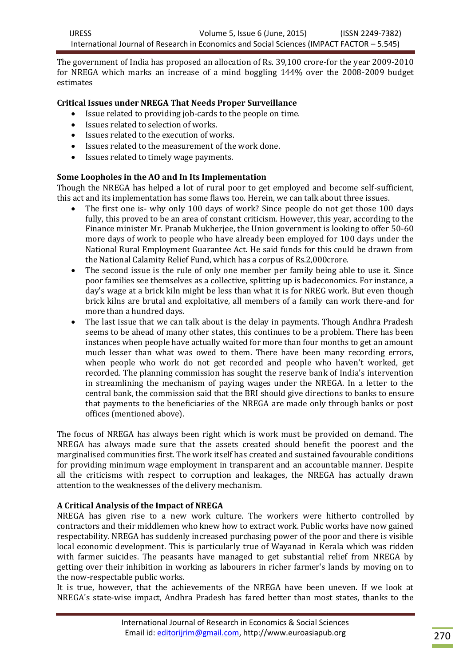The government of India has proposed an allocation of Rs. 39,100 crore-for the year 2009-2010 for NREGA which marks an increase of a mind boggling 144% over the 2008-2009 budget estimates

## **Critical Issues under NREGA That Needs Proper Surveillance**

- Issue related to providing job-cards to the people on time.
- Issues related to selection of works.
- Issues related to the execution of works.
- Issues related to the measurement of the work done.
- Issues related to timely wage payments.

## **Some Loopholes in the AO and In Its Implementation**

Though the NREGA has helped a lot of rural poor to get employed and become self-sufficient, this act and its implementation has some flaws too. Herein, we can talk about three issues.

- The first one is- why only 100 days of work? Since people do not get those 100 days fully, this proved to be an area of constant criticism. However, this year, according to the Finance minister Mr. Pranab Mukherjee, the Union government is looking to offer 50-60 more days of work to people who have already been employed for 100 days under the National Rural Employment Guarantee Act. He said funds for this could be drawn from the National Calamity Relief Fund, which has a corpus of Rs.2,000crore.
- The second issue is the rule of only one member per family being able to use it. Since poor families see themselves as a collective, splitting up is badeconomics. For instance, a day's wage at a brick kiln might be less than what it is for NREG work. But even though brick kilns are brutal and exploitative, all members of a family can work there-and for more than a hundred days.
- The last issue that we can talk about is the delay in payments. Though Andhra Pradesh seems to be ahead of many other states, this continues to be a problem. There has been instances when people have actually waited for more than four months to get an amount much lesser than what was owed to them. There have been many recording errors, when people who work do not get recorded and people who haven't worked, get recorded. The planning commission has sought the reserve bank of India's intervention in streamlining the mechanism of paying wages under the NREGA. In a letter to the central bank, the commission said that the BRI should give directions to banks to ensure that payments to the beneficiaries of the NREGA are made only through banks or post offices (mentioned above).

The focus of NREGA has always been right which is work must be provided on demand. The NREGA has always made sure that the assets created should benefit the poorest and the marginalised communities first. The work itself has created and sustained favourable conditions for providing minimum wage employment in transparent and an accountable manner. Despite all the criticisms with respect to corruption and leakages, the NREGA has actually drawn attention to the weaknesses of the delivery mechanism.

### **A Critical Analysis of the Impact of NREGA**

NREGA has given rise to a new work culture. The workers were hitherto controlled by contractors and their middlemen who knew how to extract work. Public works have now gained respectability. NREGA has suddenly increased purchasing power of the poor and there is visible local economic development. This is particularly true of Wayanad in Kerala which was ridden with farmer suicides. The peasants have managed to get substantial relief from NREGA by getting over their inhibition in working as labourers in richer farmer's lands by moving on to the now-respectable public works.

It is true, however, that the achievements of the NREGA have been uneven. If we look at NREGA's state-wise impact, Andhra Pradesh has fared better than most states, thanks to the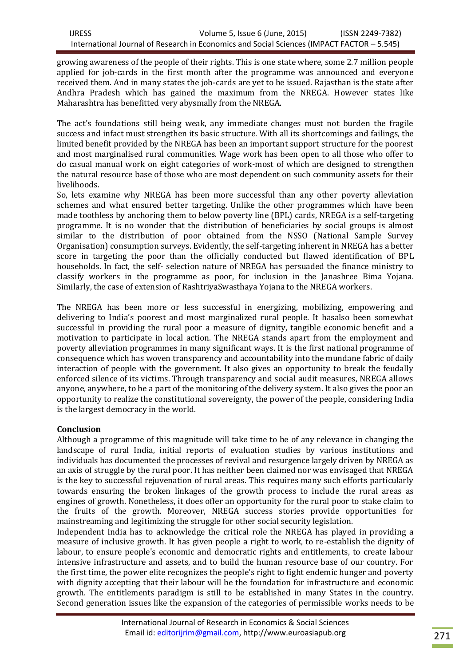growing awareness of the people of their rights. This is one state where, some 2.7 million people applied for job-cards in the first month after the programme was announced and everyone received them. And in many states the job-cards are yet to be issued. Rajasthan is the state after Andhra Pradesh which has gained the maximum from the NREGA. However states like Maharashtra has benefitted very abysmally from the NREGA.

The act's foundations still being weak, any immediate changes must not burden the fragile success and infact must strengthen its basic structure. With all its shortcomings and failings, the limited benefit provided by the NREGA has been an important support structure for the poorest and most marginalised rural communities. Wage work has been open to all those who offer to do casual manual work on eight categories of work-most of which are designed to strengthen the natural resource base of those who are most dependent on such community assets for their livelihoods.

So, lets examine why NREGA has been more successful than any other poverty alleviation schemes and what ensured better targeting. Unlike the other programmes which have been made toothless by anchoring them to below poverty line (BPL) cards, NREGA is a self-targeting programme. It is no wonder that the distribution of beneficiaries by social groups is almost similar to the distribution of poor obtained from the NSSO (National Sample Survey Organisation) consumption surveys. Evidently, the self-targeting inherent in NREGA has a better score in targeting the poor than the officially conducted but flawed identification of BPL households. In fact, the self- selection nature of NREGA has persuaded the finance ministry to classify workers in the programme as poor, for inclusion in the Janashree Bima Yojana. Similarly, the case of extension of RashtriyaSwasthaya Yojana to the NREGA workers.

The NREGA has been more or less successful in energizing, mobilizing, empowering and delivering to India's poorest and most marginalized rural people. It hasalso been somewhat successful in providing the rural poor a measure of dignity, tangible economic benefit and a motivation to participate in local action. The NREGA stands apart from the employment and poverty alleviation programmes in many significant ways. It is the first national programme of consequence which has woven transparency and accountability into the mundane fabric of daily interaction of people with the government. It also gives an opportunity to break the feudally enforced silence of its victims. Through transparency and social audit measures, NREGA allows anyone, anywhere, to be a part of the monitoring of the delivery system. It also gives the poor an opportunity to realize the constitutional sovereignty, the power of the people, considering India is the largest democracy in the world.

# **Conclusion**

Although a programme of this magnitude will take time to be of any relevance in changing the landscape of rural India, initial reports of evaluation studies by various institutions and individuals has documented the processes of revival and resurgence largely driven by NREGA as an axis of struggle by the rural poor. It has neither been claimed nor was envisaged that NREGA is the key to successful rejuvenation of rural areas. This requires many such efforts particularly towards ensuring the broken linkages of the growth process to include the rural areas as engines of growth. Nonetheless, it does offer an opportunity for the rural poor to stake claim to the fruits of the growth. Moreover, NREGA success stories provide opportunities for mainstreaming and legitimizing the struggle for other social security legislation.

Independent India has to acknowledge the critical role the NREGA has played in providing a measure of inclusive growth. It has given people a right to work, to re-establish the dignity of labour, to ensure people's economic and democratic rights and entitlements, to create labour intensive infrastructure and assets, and to build the human resource base of our country. For the first time, the power elite recognizes the people's right to fight endemic hunger and poverty with dignity accepting that their labour will be the foundation for infrastructure and economic growth. The entitlements paradigm is still to be established in many States in the country. Second generation issues like the expansion of the categories of permissible works needs to be